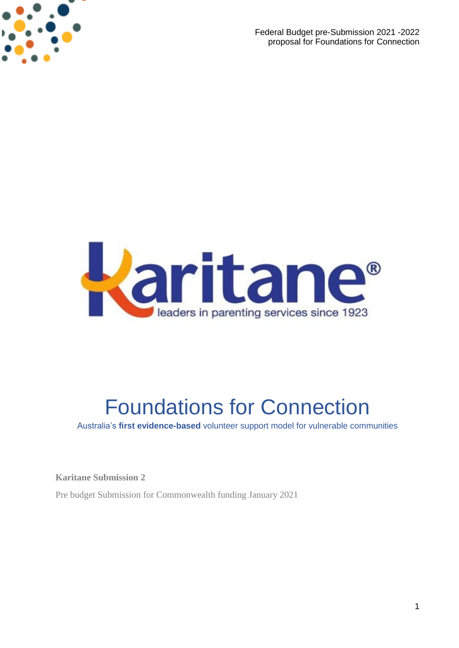

Federal Budget pre-Submission 2021 -2022 proposal for Foundations for Connection



# Foundations for Connection

Australia's **first evidence-based** volunteer support model for vulnerable communities

**Karitane Submission 2**

Pre budget Submission for Commonwealth funding January 2021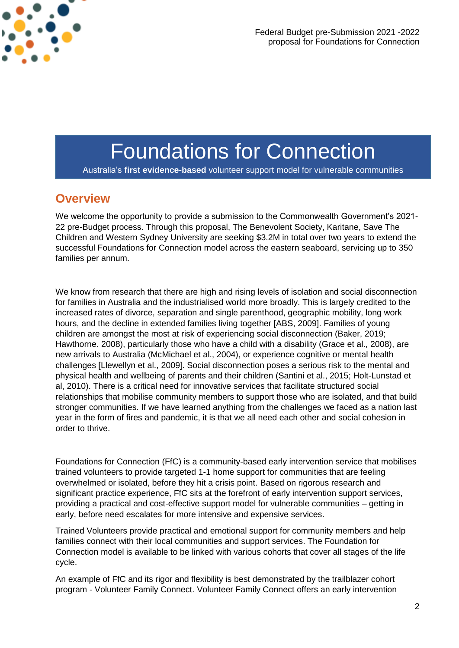

Federal Budget pre-Submission 2021 -2022 proposal for Foundations for Connection

## Foundations for Connection

Australia's **first evidence-based** volunteer support model for vulnerable communities

#### **Overview**

We welcome the opportunity to provide a submission to the Commonwealth Government's 2021- 22 pre-Budget process. Through this proposal, The Benevolent Society, Karitane, Save The Children and Western Sydney University are seeking \$3.2M in total over two years to extend the successful Foundations for Connection model across the eastern seaboard, servicing up to 350 families per annum.

We know from research that there are high and rising levels of isolation and social disconnection for families in Australia and the industrialised world more broadly. This is largely credited to the increased rates of divorce, separation and single parenthood, geographic mobility, long work hours, and the decline in extended families living together [ABS, 2009]. Families of young children are amongst the most at risk of experiencing social disconnection (Baker, 2019; Hawthorne. 2008), particularly those who have a child with a disability (Grace et al., 2008), are new arrivals to Australia (McMichael et al., 2004), or experience cognitive or mental health challenges [Llewellyn et al., 2009]. Social disconnection poses a serious risk to the mental and physical health and wellbeing of parents and their children (Santini et al., 2015; Holt-Lunstad et al, 2010). There is a critical need for innovative services that facilitate structured social relationships that mobilise community members to support those who are isolated, and that build stronger communities. If we have learned anything from the challenges we faced as a nation last year in the form of fires and pandemic, it is that we all need each other and social cohesion in order to thrive.

Foundations for Connection (FfC) is a community-based early intervention service that mobilises trained volunteers to provide targeted 1-1 home support for communities that are feeling overwhelmed or isolated, before they hit a crisis point. Based on rigorous research and significant practice experience, FfC sits at the forefront of early intervention support services, providing a practical and cost-effective support model for vulnerable communities – getting in early, before need escalates for more intensive and expensive services.

Trained Volunteers provide practical and emotional support for community members and help families connect with their local communities and support services. The Foundation for Connection model is available to be linked with various cohorts that cover all stages of the life cycle.

An example of FfC and its rigor and flexibility is best demonstrated by the trailblazer cohort program - Volunteer Family Connect. Volunteer Family Connect offers an early intervention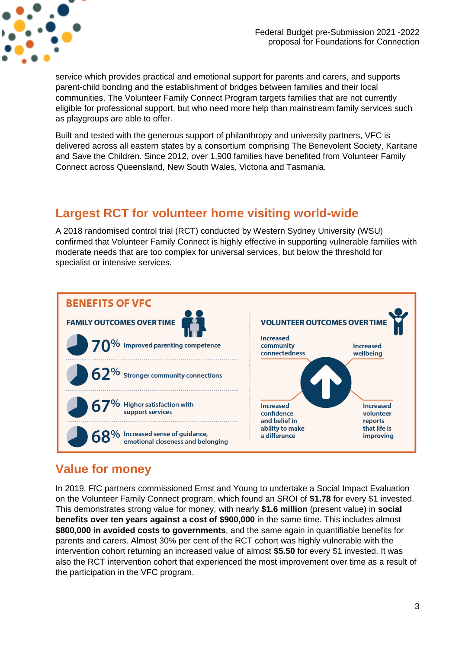

service which provides practical and emotional support for parents and carers, and supports parent-child bonding and the establishment of bridges between families and their local communities. The Volunteer Family Connect Program targets families that are not currently eligible for professional support, but who need more help than mainstream family services such as playgroups are able to offer.

Built and tested with the generous support of philanthropy and university partners, VFC is delivered across all eastern states by a consortium comprising The Benevolent Society, Karitane and Save the Children. Since 2012, over 1,900 families have benefited from Volunteer Family Connect across Queensland, New South Wales, Victoria and Tasmania.

#### **Largest RCT for volunteer home visiting world-wide**

A 2018 randomised control trial (RCT) conducted by Western Sydney University (WSU) confirmed that Volunteer Family Connect is highly effective in supporting vulnerable families with moderate needs that are too complex for universal services, but below the threshold for specialist or intensive services.



### **Value for money**

In 2019, FfC partners commissioned Ernst and Young to undertake a Social Impact Evaluation on the Volunteer Family Connect program, which found an SROI of **\$1.78** for every \$1 invested. This demonstrates strong value for money, with nearly **\$1.6 million** (present value) in **social benefits over ten years against a cost of \$900,000** in the same time. This includes almost **\$800,000 in avoided costs to governments**, and the same again in quantifiable benefits for parents and carers. Almost 30% per cent of the RCT cohort was highly vulnerable with the intervention cohort returning an increased value of almost **\$5.50** for every \$1 invested. It was also the RCT intervention cohort that experienced the most improvement over time as a result of the participation in the VFC program.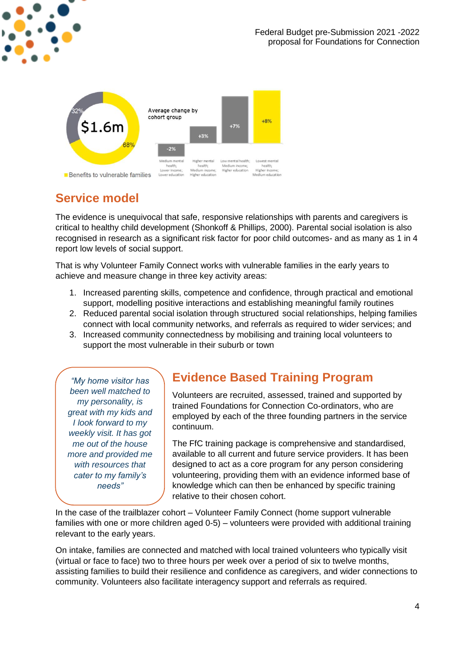



## **Service model**

The evidence is unequivocal that safe, responsive relationships with parents and caregivers is critical to healthy child development (Shonkoff & Phillips, 2000). Parental social isolation is also recognised in research as a significant risk factor for poor child outcomes- and as many as 1 in 4 report low levels of social support.

That is why Volunteer Family Connect works with vulnerable families in the early years to achieve and measure change in three key activity areas:

- 1. Increased parenting skills, competence and confidence, through practical and emotional support, modelling positive interactions and establishing meaningful family routines
- 2. Reduced parental social isolation through structured social relationships, helping families connect with local community networks, and referrals as required to wider services; and
- 3. Increased community connectedness by mobilising and training local volunteers to support the most vulnerable in their suburb or town

*"My home visitor has been well matched to my personality, is great with my kids and I look forward to my weekly visit. It has got me out of the house more and provided me with resources that cater to my family's needs"*

#### **Evidence Based Training Program**

Volunteers are recruited, assessed, trained and supported by trained Foundations for Connection Co-ordinators, who are employed by each of the three founding partners in the service continuum.

The FfC training package is comprehensive and standardised, available to all current and future service providers. It has been designed to act as a core program for any person considering volunteering, providing them with an evidence informed base of knowledge which can then be enhanced by specific training relative to their chosen cohort.

In the case of the trailblazer cohort – Volunteer Family Connect (home support vulnerable families with one or more children aged 0-5) – volunteers were provided with additional training relevant to the early years.

On intake, families are connected and matched with local trained volunteers who typically visit (virtual or face to face) two to three hours per week over a period of six to twelve months, assisting families to build their resilience and confidence as caregivers, and wider connections to community. Volunteers also facilitate interagency support and referrals as required.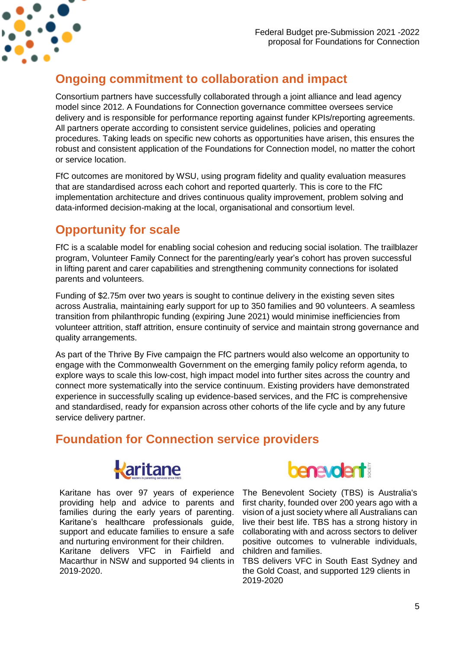

### **Ongoing commitment to collaboration and impact**

Consortium partners have successfully collaborated through a joint alliance and lead agency model since 2012. A Foundations for Connection governance committee oversees service delivery and is responsible for performance reporting against funder KPIs/reporting agreements. All partners operate according to consistent service guidelines, policies and operating procedures. Taking leads on specific new cohorts as opportunities have arisen, this ensures the robust and consistent application of the Foundations for Connection model, no matter the cohort or service location.

FfC outcomes are monitored by WSU, using program fidelity and quality evaluation measures that are standardised across each cohort and reported quarterly. This is core to the FfC implementation architecture and drives continuous quality improvement, problem solving and data-informed decision-making at the local, organisational and consortium level.

### **Opportunity for scale**

FfC is a scalable model for enabling social cohesion and reducing social isolation. The trailblazer program, Volunteer Family Connect for the parenting/early year's cohort has proven successful in lifting parent and carer capabilities and strengthening community connections for isolated parents and volunteers.

Funding of \$2.75m over two years is sought to continue delivery in the existing seven sites across Australia, maintaining early support for up to 350 families and 90 volunteers. A seamless transition from philanthropic funding (expiring June 2021) would minimise inefficiencies from volunteer attrition, staff attrition, ensure continuity of service and maintain strong governance and quality arrangements.

As part of the Thrive By Five campaign the FfC partners would also welcome an opportunity to engage with the Commonwealth Government on the emerging family policy reform agenda, to explore ways to scale this low-cost, high impact model into further sites across the country and connect more systematically into the service continuum. Existing providers have demonstrated experience in successfully scaling up evidence-based services, and the FfC is comprehensive and standardised, ready for expansion across other cohorts of the life cycle and by any future service delivery partner.

### **Foundation for Connection service providers**



Karitane has over 97 years of experience providing help and advice to parents and families during the early years of parenting. Karitane's healthcare professionals guide, support and educate families to ensure a safe and nurturing environment for their children. Karitane delivers VFC in Fairfield and Macarthur in NSW and supported 94 clients in 2019-2020.



The Benevolent Society (TBS) is Australia's first charity, founded over 200 years ago with a vision of a just society where all Australians can live their best life. TBS has a strong history in collaborating with and across sectors to deliver positive outcomes to vulnerable individuals, children and families.

TBS delivers VFC in South East Sydney and the Gold Coast, and supported 129 clients in 2019-2020